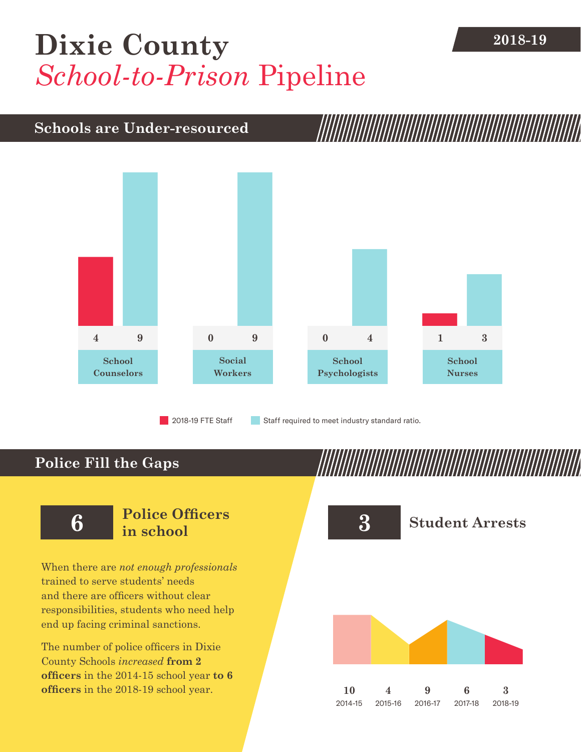## [Dixie County](DBF_County) **2018-19** *School-to-Prison* Pipeline

### **Schools are Under-resourced**



### **Police Fill the Gaps**

When there are *not enough professionals* trained to serve students' needs and there are officers without clear responsibilities, students who need help end up facing criminal sanctions.

The number of police officers in [Dixie](DBF_County)  [County](DBF_County) Schools *increased* **from [2](DBF_PO1415) officers** in the 2014-15 school year **to [6](DBF_PO) officers** in the 2018-19 school year.